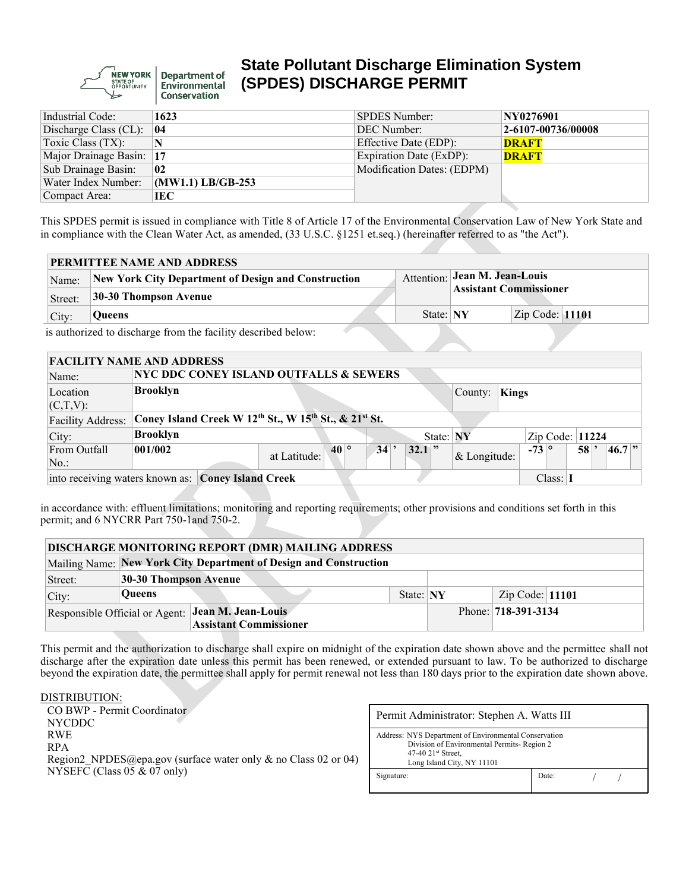**NEW YORK Department of Environmental** Conservation

# **State Pollutant Discharge Elimination System (SPDES) DISCHARGE PERMIT**

| Industrial Code:         | 1623                | <b>SPDES Number:</b>       | NY0276901          |
|--------------------------|---------------------|----------------------------|--------------------|
| Discharge Class (CL):    | 04                  | DEC Number:                | 2-6107-00736/00008 |
| Toxic Class $(TX)$ :     | N                   | Effective Date (EDP):      | <b>DRAFT</b>       |
| Major Drainage Basin: 17 |                     | Expiration Date (ExDP):    | <b>DRAFT</b>       |
| Sub Drainage Basin:      | 02                  | Modification Dates: (EDPM) |                    |
| Water Index Number:      | $(MW1.1)$ LB/GB-253 |                            |                    |
| Compact Area:            | IEC                 |                            |                    |

This SPDES permit is issued in compliance with Title 8 of Article 17 of the Environmental Conservation Law of New York State and in compliance with the Clean Water Act, as amended, (33 U.S.C. §1251 et.seq.) (hereinafter referred to as "the Act").

|         | <b>PERMITTEE NAME AND ADDRESS</b>                             |           |                                                                       |                   |  |  |  |  |  |  |  |  |
|---------|---------------------------------------------------------------|-----------|-----------------------------------------------------------------------|-------------------|--|--|--|--|--|--|--|--|
| Name:   | New York City Department of Design and Construction           |           | <b>Attention: Jean M. Jean-Louis</b><br><b>Assistant Commissioner</b> |                   |  |  |  |  |  |  |  |  |
| Street: | 30-30 Thompson Avenue                                         |           |                                                                       |                   |  |  |  |  |  |  |  |  |
| City:   | Queens                                                        | State: NY |                                                                       | Zip Code: $11101$ |  |  |  |  |  |  |  |  |
|         | is authorized to discharge from the facility described below. |           |                                                                       |                   |  |  |  |  |  |  |  |  |

if to the facility

| <b>FACILITY NAME AND ADDRESS</b>                               |                                                       |                              |                  |                |              |                   |    |            |  |  |
|----------------------------------------------------------------|-------------------------------------------------------|------------------------------|------------------|----------------|--------------|-------------------|----|------------|--|--|
| Name:                                                          | <b>NYC DDC CONEY ISLAND OUTFALLS &amp; SEWERS</b>     |                              |                  |                |              |                   |    |            |  |  |
| Location<br>$(C,T,V)$ :                                        | <b>Brooklyn</b>                                       |                              |                  | County:        | <b>Kings</b> |                   |    |            |  |  |
| <b>Facility Address:</b>                                       | Coney Island Creek W 12th St., W 15th St., & 21st St. |                              |                  |                |              |                   |    |            |  |  |
| City:                                                          | <b>Brooklyn</b>                                       |                              | State: NY        |                |              | Zip Code: $11224$ |    |            |  |  |
| From Outfall<br>$No.$ :                                        | 001/002                                               | $40^{\circ}$<br>at Latitude: | 34<br>$32.1$ $"$ | $&$ Longitude: |              | $-73$ $^{\circ}$  | 58 | $46.7$ $"$ |  |  |
| into receiving waters known as: Coney Island Creek<br>Class: 1 |                                                       |                              |                  |                |              |                   |    |            |  |  |

in accordance with: effluent limitations; monitoring and reporting requirements; other provisions and conditions set forth in this permit; and 6 NYCRR Part 750-1and 750-2.

|         | <b>DISCHARGE MONITORING REPORT (DMR) MAILING ADDRESS</b> |                                                                   |           |                     |                   |  |  |  |  |  |  |
|---------|----------------------------------------------------------|-------------------------------------------------------------------|-----------|---------------------|-------------------|--|--|--|--|--|--|
|         |                                                          | Mailing Name: New York City Department of Design and Construction |           |                     |                   |  |  |  |  |  |  |
| Street: | 30-30 Thompson Avenue                                    |                                                                   |           |                     |                   |  |  |  |  |  |  |
| City:   | <b>Oueens</b>                                            |                                                                   | State: NY |                     | Zip Code: $11101$ |  |  |  |  |  |  |
|         |                                                          | Responsible Official or Agent: Jean M. Jean-Louis                 |           | Phone: 718-391-3134 |                   |  |  |  |  |  |  |
|         |                                                          | <b>Assistant Commissioner</b>                                     |           |                     |                   |  |  |  |  |  |  |

This permit and the authorization to discharge shall expire on midnight of the expiration date shown above and the permittee shall not discharge after the expiration date unless this permit has been renewed, or extended pursuant to law. To be authorized to discharge beyond the expiration date, the permittee shall apply for permit renewal not less than 180 days prior to the expiration date shown above.

DISTRIBUTION: CO BWP - Permit Coordinator NYCDDC RWE RPA Region2 NPDES@epa.gov (surface water only & no Class 02 or 04) NYSEFC (Class 05 & 07 only)

| Permit Administrator: Stephen A. Watts III                                                                                                                  |       |  |  |  |  |  |  |  |
|-------------------------------------------------------------------------------------------------------------------------------------------------------------|-------|--|--|--|--|--|--|--|
| Address: NYS Department of Environmental Conservation<br>Division of Environmental Permits-Region 2<br>$47-40$ $21st$ Street,<br>Long Island City, NY 11101 |       |  |  |  |  |  |  |  |
| Signature:                                                                                                                                                  | Date: |  |  |  |  |  |  |  |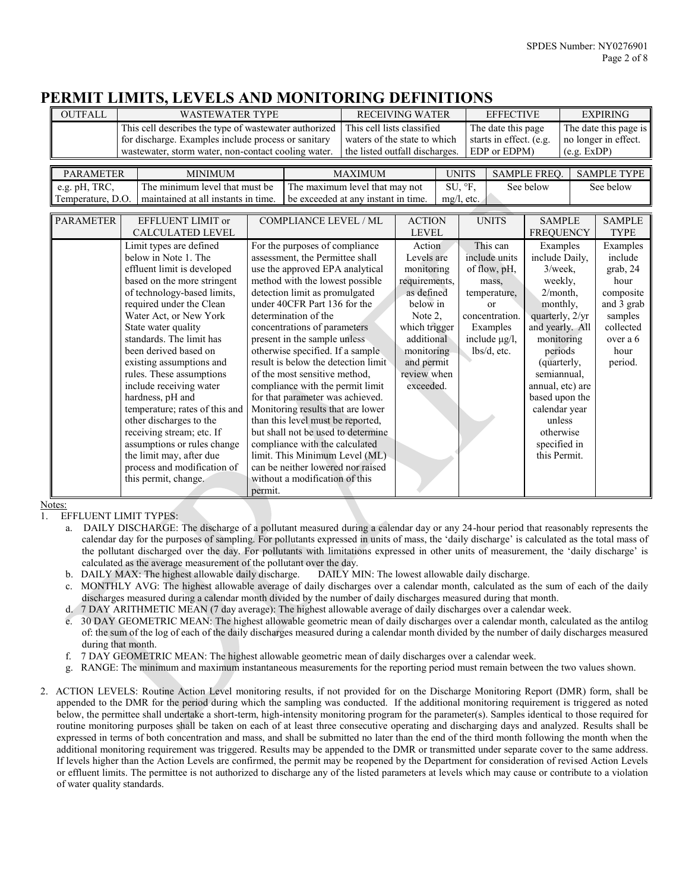## **PERMIT LIMITS, LEVELS AND MONITORING DEFINITIONS**

| <b>OUTFALL</b>                     | <b>WASTEWATER TYPE</b>                                                                                                                                                                                                                                                                                                                                                                                                                                                                                                                                                                            |         |                                                                                                                                                                                                                                                                                                                                                                                                                                                                                                                                                                                                                                                                                                                                                  |                                                                                              | <b>RECEIVING WATER</b>                                                                                                                                                          |               |                                                               | <b>EFFECTIVE</b>                                                                                                                                       |                                                                                                                                                                                                                                                                                           |  | <b>EXPIRING</b>                                                                                                           |  |
|------------------------------------|---------------------------------------------------------------------------------------------------------------------------------------------------------------------------------------------------------------------------------------------------------------------------------------------------------------------------------------------------------------------------------------------------------------------------------------------------------------------------------------------------------------------------------------------------------------------------------------------------|---------|--------------------------------------------------------------------------------------------------------------------------------------------------------------------------------------------------------------------------------------------------------------------------------------------------------------------------------------------------------------------------------------------------------------------------------------------------------------------------------------------------------------------------------------------------------------------------------------------------------------------------------------------------------------------------------------------------------------------------------------------------|----------------------------------------------------------------------------------------------|---------------------------------------------------------------------------------------------------------------------------------------------------------------------------------|---------------|---------------------------------------------------------------|--------------------------------------------------------------------------------------------------------------------------------------------------------|-------------------------------------------------------------------------------------------------------------------------------------------------------------------------------------------------------------------------------------------------------------------------------------------|--|---------------------------------------------------------------------------------------------------------------------------|--|
|                                    | This cell describes the type of wastewater authorized<br>for discharge. Examples include process or sanitary<br>wastewater, storm water, non-contact cooling water.                                                                                                                                                                                                                                                                                                                                                                                                                               |         |                                                                                                                                                                                                                                                                                                                                                                                                                                                                                                                                                                                                                                                                                                                                                  | This cell lists classified<br>waters of the state to which<br>the listed outfall discharges. |                                                                                                                                                                                 |               | The date this page<br>starts in effect. (e.g.<br>EDP or EDPM) |                                                                                                                                                        | The date this page is<br>no longer in effect.<br>(e.g. EXP)                                                                                                                                                                                                                               |  |                                                                                                                           |  |
| <b>PARAMETER</b>                   | <b>MINIMUM</b>                                                                                                                                                                                                                                                                                                                                                                                                                                                                                                                                                                                    |         |                                                                                                                                                                                                                                                                                                                                                                                                                                                                                                                                                                                                                                                                                                                                                  | <b>MAXIMUM</b>                                                                               |                                                                                                                                                                                 | <b>UNITS</b>  |                                                               |                                                                                                                                                        | SAMPLE FREQ.                                                                                                                                                                                                                                                                              |  | <b>SAMPLE TYPE</b>                                                                                                        |  |
| e.g. pH, TRC,<br>Temperature, D.O. | The minimum level that must be<br>maintained at all instants in time.                                                                                                                                                                                                                                                                                                                                                                                                                                                                                                                             |         | The maximum level that may not<br>be exceeded at any instant in time.                                                                                                                                                                                                                                                                                                                                                                                                                                                                                                                                                                                                                                                                            |                                                                                              |                                                                                                                                                                                 | $mg/l$ , etc. | SU, F,                                                        |                                                                                                                                                        | See below                                                                                                                                                                                                                                                                                 |  | See below                                                                                                                 |  |
| <b>PARAMETER</b>                   | EFFLUENT LIMIT or<br><b>CALCULATED LEVEL</b>                                                                                                                                                                                                                                                                                                                                                                                                                                                                                                                                                      |         | <b>COMPLIANCE LEVEL / ML</b>                                                                                                                                                                                                                                                                                                                                                                                                                                                                                                                                                                                                                                                                                                                     |                                                                                              | <b>ACTION</b><br><b>LEVEL</b>                                                                                                                                                   |               |                                                               | <b>UNITS</b>                                                                                                                                           | <b>SAMPLE</b><br><b>FREQUENCY</b>                                                                                                                                                                                                                                                         |  | <b>SAMPLE</b><br><b>TYPE</b>                                                                                              |  |
|                                    | Limit types are defined<br>below in Note 1. The<br>effluent limit is developed<br>based on the more stringent<br>of technology-based limits,<br>required under the Clean<br>Water Act, or New York<br>State water quality<br>standards. The limit has<br>been derived based on<br>existing assumptions and<br>rules. These assumptions<br>include receiving water<br>hardness, pH and<br>temperature; rates of this and<br>other discharges to the<br>receiving stream; etc. If<br>assumptions or rules change<br>the limit may, after due<br>process and modification of<br>this permit, change. | permit. | For the purposes of compliance<br>assessment, the Permittee shall<br>use the approved EPA analytical<br>method with the lowest possible<br>detection limit as promulgated<br>under 40CFR Part 136 for the<br>determination of the<br>concentrations of parameters<br>present in the sample unless<br>otherwise specified. If a sample<br>result is below the detection limit<br>of the most sensitive method.<br>compliance with the permit limit<br>for that parameter was achieved.<br>Monitoring results that are lower<br>than this level must be reported,<br>but shall not be used to determine<br>compliance with the calculated<br>limit. This Minimum Level (ML)<br>can be neither lowered nor raised<br>without a modification of this |                                                                                              | Action<br>Levels are<br>monitoring<br>requirements,<br>as defined<br>below in<br>Note 2.<br>which trigger<br>additional<br>monitoring<br>and permit<br>review when<br>exceeded. |               |                                                               | This can<br>include units<br>of flow, pH,<br>mass.<br>temperature,<br><sub>or</sub><br>concentration.<br>Examples<br>include $\mu$ g/l,<br>lbs/d, etc. | Examples<br>include Daily,<br>$3$ /week.<br>weekly,<br>$2/month$ .<br>monthly.<br>quarterly, 2/yr<br>and yearly. All<br>monitoring<br>periods<br>(quarterly,<br>semiannual.<br>annual, etc) are<br>based upon the<br>calendar year<br>unless<br>otherwise<br>specified in<br>this Permit. |  | Examples<br>include<br>grab, 24<br>hour<br>composite<br>and 3 grab<br>samples<br>collected<br>over a 6<br>hour<br>period. |  |

Notes:

1. EFFLUENT LIMIT TYPES:

- a. DAILY DISCHARGE: The discharge of a pollutant measured during a calendar day or any 24-hour period that reasonably represents the calendar day for the purposes of sampling. For pollutants expressed in units of mass, the 'daily discharge' is calculated as the total mass of the pollutant discharged over the day. For pollutants with limitations expressed in other units of measurement, the 'daily discharge' is calculated as the average measurement of the pollutant over the day.
- b. DAILY MAX: The highest allowable daily discharge. DAILY MIN: The lowest allowable daily discharge.
- c. MONTHLY AVG: The highest allowable average of daily discharges over a calendar month, calculated as the sum of each of the daily discharges measured during a calendar month divided by the number of daily discharges measured during that month.
- d. 7 DAY ARITHMETIC MEAN (7 day average): The highest allowable average of daily discharges over a calendar week.
- e. 30 DAY GEOMETRIC MEAN: The highest allowable geometric mean of daily discharges over a calendar month, calculated as the antilog of: the sum of the log of each of the daily discharges measured during a calendar month divided by the number of daily discharges measured during that month.
- f. 7 DAY GEOMETRIC MEAN: The highest allowable geometric mean of daily discharges over a calendar week.
- g. RANGE: The minimum and maximum instantaneous measurements for the reporting period must remain between the two values shown.
- 2. ACTION LEVELS: Routine Action Level monitoring results, if not provided for on the Discharge Monitoring Report (DMR) form, shall be appended to the DMR for the period during which the sampling was conducted. If the additional monitoring requirement is triggered as noted below, the permittee shall undertake a short-term, high-intensity monitoring program for the parameter(s). Samples identical to those required for routine monitoring purposes shall be taken on each of at least three consecutive operating and discharging days and analyzed. Results shall be expressed in terms of both concentration and mass, and shall be submitted no later than the end of the third month following the month when the additional monitoring requirement was triggered. Results may be appended to the DMR or transmitted under separate cover to the same address. If levels higher than the Action Levels are confirmed, the permit may be reopened by the Department for consideration of revised Action Levels or effluent limits. The permittee is not authorized to discharge any of the listed parameters at levels which may cause or contribute to a violation of water quality standards.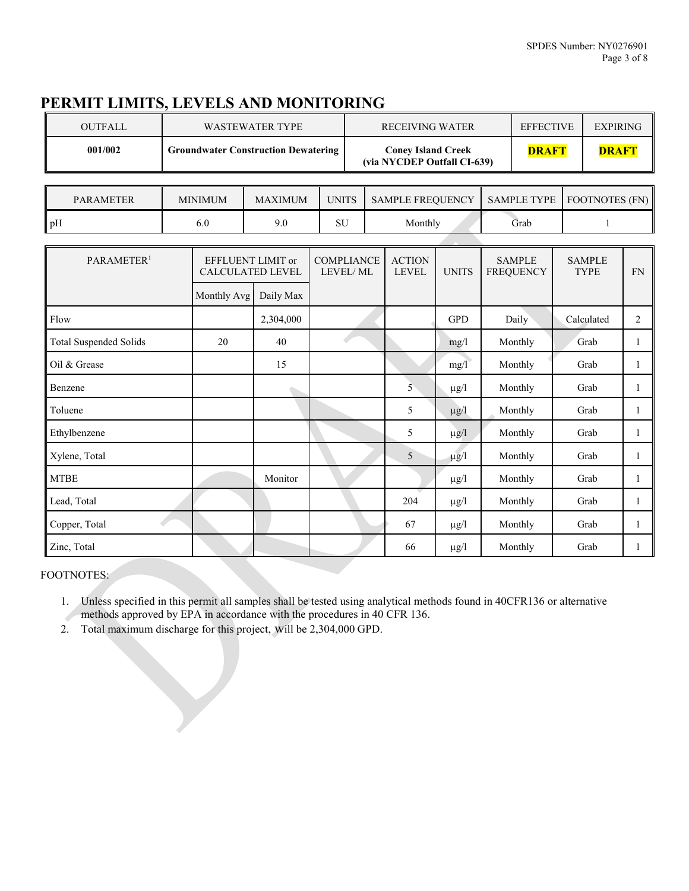# **PERMIT LIMITS, LEVELS AND MONITORING**

| OUTFALL | WASTEWATER TYPE                            | <b>RECEIVING WATER</b>                                   | <b>EFFECTIVE</b> | <b>EXPIRING</b> |
|---------|--------------------------------------------|----------------------------------------------------------|------------------|-----------------|
| 001/002 | <b>Groundwater Construction Dewatering</b> | <b>Coney Island Creek</b><br>(via NYCDEP Outfall CI-639) | <b>DRAFT</b>     | <b>DRAFT</b>    |

| <b>PARAMETER</b> | MINIMUM | UNITS<br>MAXIMUM |            | <b>SAMPLE FREQUENCY</b> |      | SAMPLE TYPE   FOOTNOTES (FN) |  |
|------------------|---------|------------------|------------|-------------------------|------|------------------------------|--|
| pH               | 6.0     |                  | CL L<br>SЧ | Monthly                 | Grab |                              |  |

| PARAMETER <sup>1</sup>        | EFFLUENT LIMIT or<br><b>CALCULATED LEVEL</b> |           | <b>COMPLIANCE</b><br>LEVEL/ML | <b>ACTION</b><br><b>LEVEL</b> | <b>UNITS</b> | <b>SAMPLE</b><br><b>FREQUENCY</b> | <b>SAMPLE</b><br><b>TYPE</b> | ${\rm FN}$     |
|-------------------------------|----------------------------------------------|-----------|-------------------------------|-------------------------------|--------------|-----------------------------------|------------------------------|----------------|
|                               | Monthly Avg                                  | Daily Max |                               |                               |              |                                   |                              |                |
| Flow                          |                                              | 2,304,000 |                               |                               | <b>GPD</b>   | Daily                             | Calculated                   | $\overline{c}$ |
| <b>Total Suspended Solids</b> | 20                                           | 40        |                               |                               | mg/l         | Monthly                           | Grab                         | 1              |
| Oil & Grease                  |                                              | 15        |                               |                               | mg/1         | Monthly                           | Grab                         | 1              |
| Benzene                       |                                              |           |                               | 5                             | $\mu$ g/l    | Monthly                           | Grab                         | 1              |
| Toluene                       |                                              |           |                               | 5                             | $\mu$ g/l    | Monthly                           | Grab                         | 1              |
| Ethylbenzene                  |                                              |           |                               | 5                             | $\mu$ g/l    | Monthly                           | Grab                         | 1              |
| Xylene, Total                 |                                              |           |                               | 5                             | $\mu$ g/l    | Monthly                           | Grab                         | 1              |
| <b>MTBE</b>                   |                                              | Monitor   |                               |                               | $\mu$ g/l    | Monthly                           | Grab                         | $\mathbf{1}$   |
| Lead, Total                   |                                              |           |                               | 204                           | $\mu$ g/l    | Monthly                           | Grab                         | 1              |
| Copper, Total                 |                                              |           |                               | 67                            | $\mu$ g/l    | Monthly                           | Grab                         | 1              |
| Zinc, Total                   |                                              |           |                               | 66                            | $\mu$ g/l    | Monthly                           | Grab                         | 1              |

#### FOOTNOTES:

1. Unless specified in this permit all samples shall be tested using analytical methods found in 40CFR136 or alternative methods approved by EPA in accordance with the procedures in 40 CFR 136.

2. Total maximum discharge for this project, will be 2,304,000 GPD.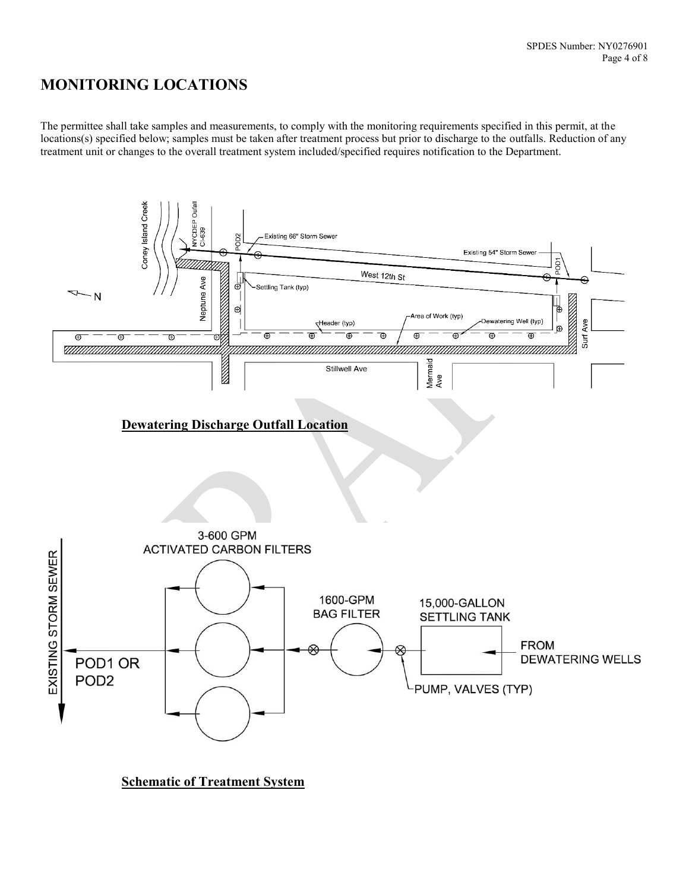# **MONITORING LOCATIONS**

The permittee shall take samples and measurements, to comply with the monitoring requirements specified in this permit, at the locations(s) specified below; samples must be taken after treatment process but prior to discharge to the outfalls. Reduction of any treatment unit or changes to the overall treatment system included/specified requires notification to the Department.



**Schematic of Treatment System**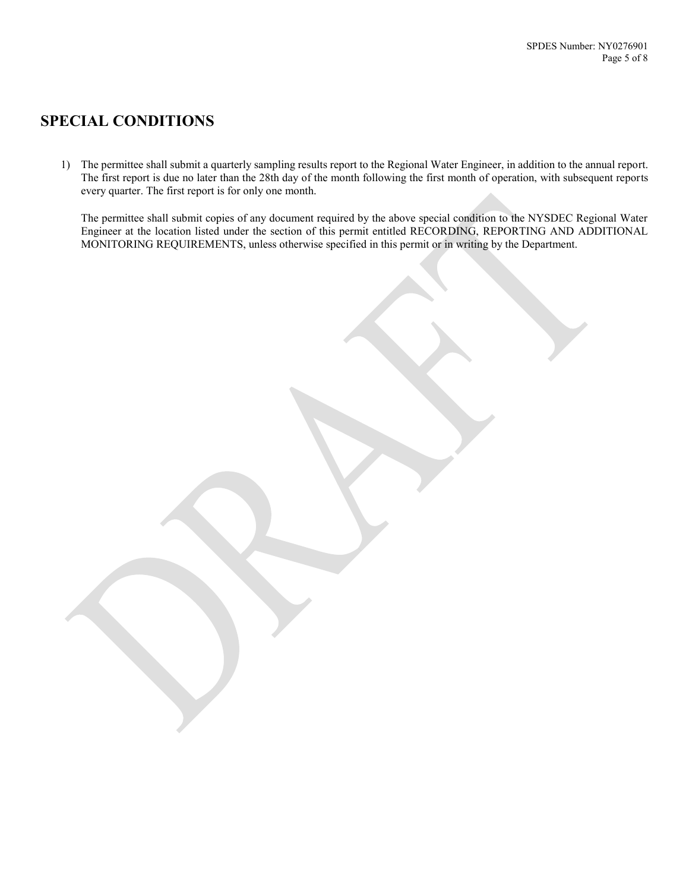# **SPECIAL CONDITIONS**

1) The permittee shall submit a quarterly sampling results report to the Regional Water Engineer, in addition to the annual report. The first report is due no later than the 28th day of the month following the first month of operation, with subsequent reports every quarter. The first report is for only one month.

The permittee shall submit copies of any document required by the above special condition to the NYSDEC Regional Water Engineer at the location listed under the section of this permit entitled RECORDING, REPORTING AND ADDITIONAL MONITORING REQUIREMENTS, unless otherwise specified in this permit or in writing by the Department.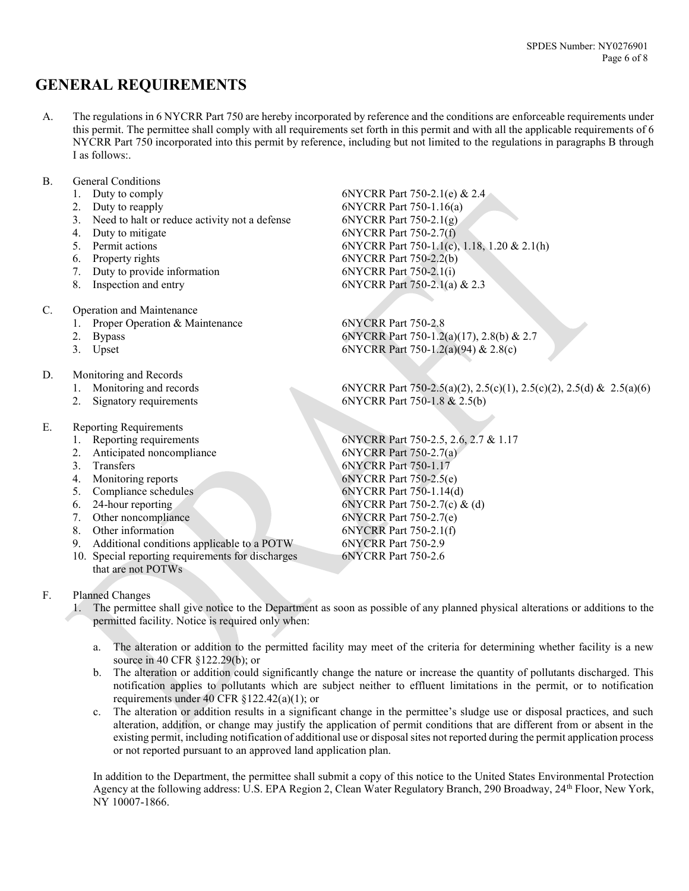# **GENERAL REQUIREMENTS**

- A. The regulations in 6 NYCRR Part 750 are hereby incorporated by reference and the conditions are enforceable requirements under this permit. The permittee shall comply with all requirements set forth in this permit and with all the applicable requirements of 6 NYCRR Part 750 incorporated into this permit by reference, including but not limited to the regulations in paragraphs B through I as follows:
- B. General Conditions
	-
	-
	- 3. Need to halt or reduce activity not a defense 6NYCRR Part 750-2.1(g)<br>4 Duty to mitigate 6NYCRR Part 750-2.7(f)
	-
	-
	-
	- 7. Duty to provide information
	-
- C. Operation and Maintenance
	- 1. Proper Operation & Maintenance 6NYCRR Part 750-2.8
	-
	-
- D. Monitoring and Records
	-
	-
- E. Reporting Requirements
	-
	-
	-
	-
	- 5. Compliance schedules 6NYCRR Part 750-1.14(d)
	-
	- 7. Other noncompliance 6NYCRR Part 750-2.7(e)
	-
	- 9. Additional conditions applicable to a POTW
	- 10. Special reporting requirements for discharges that are not POTWs
- F. Planned Changes
	- 1. The permittee shall give notice to the Department as soon as possible of any planned physical alterations or additions to the permitted facility. Notice is required only when:
		- a. The alteration or addition to the permitted facility may meet of the criteria for determining whether facility is a new source in 40 CFR §122.29(b); or
		- b. The alteration or addition could significantly change the nature or increase the quantity of pollutants discharged. This notification applies to pollutants which are subject neither to effluent limitations in the permit, or to notification requirements under 40 CFR §122.42(a)(1); or
		- c. The alteration or addition results in a significant change in the permittee's sludge use or disposal practices, and such alteration, addition, or change may justify the application of permit conditions that are different from or absent in the existing permit, including notification of additional use or disposal sites not reported during the permit application process or not reported pursuant to an approved land application plan.

In addition to the Department, the permittee shall submit a copy of this notice to the United States Environmental Protection Agency at the following address: U.S. EPA Region 2, Clean Water Regulatory Branch, 290 Broadway, 24<sup>th</sup> Floor, New York, NY 10007-1866.

1. Duty to comply 6NYCRR Part 750-2.1(e) & 2.4<br>2. Duty to reapply 6NYCRR Part 750-1.16(a) 2. Duty to reapply 6NYCRR Part 750-1.16(a) Duty to mitigate 6NYCRR Part 750-2.7(f) 5. Permit actions 6NYCRR Part 750-1.1(c), 1.18, 1.20 & 2.1(h) 6. Property rights 6NYCRR Part 750-2.2(b)<br>
7. Duty to provide information 6NYCRR Part 750-2.1(i) 8. Inspection and entry 6NYCRR Part 750-2.1(a) & 2.3

2. Bypass 6NYCRR Part 750-1.2(a)(17), 2.8(b) & 2.7<br>3. Upset 6NYCRR Part 750-1.2(a)(94) & 2.8(c) 6NYCRR Part 750-1.2(a)(94) & 2.8(c)

1. Monitoring and records 6NYCRR Part 750-2.5(a)(2), 2.5(c)(1), 2.5(c)(2), 2.5(d) & 2.5(a)(6) 2. Signatory requirements 6NYCRR Part 750-1.8 & 2.5(b)

1. Reporting requirements 6NYCRR Part 750-2.5, 2.6, 2.7 & 1.17<br>2. Anticipated noncompliance 6NYCRR Part 750-2.7(a) 2. Anticipated noncompliance 6NYCRR Part 750-2.7(a)<br>3 Transfers 6NYCRR Part 750-1.17 Transfers 6NYCRR Part 750-1.17 4. Monitoring reports 6NYCRR Part 750-2.5(e) 6. 24-hour reporting 6NYCRR Part 750-2.7(c) & (d) 8. Other information 6NYCRR Part 750-2.1(f)<br>9. Additional conditions applicable to a POTW 6NYCRR Part 750-2.9 6NYCRR Part 750-2.6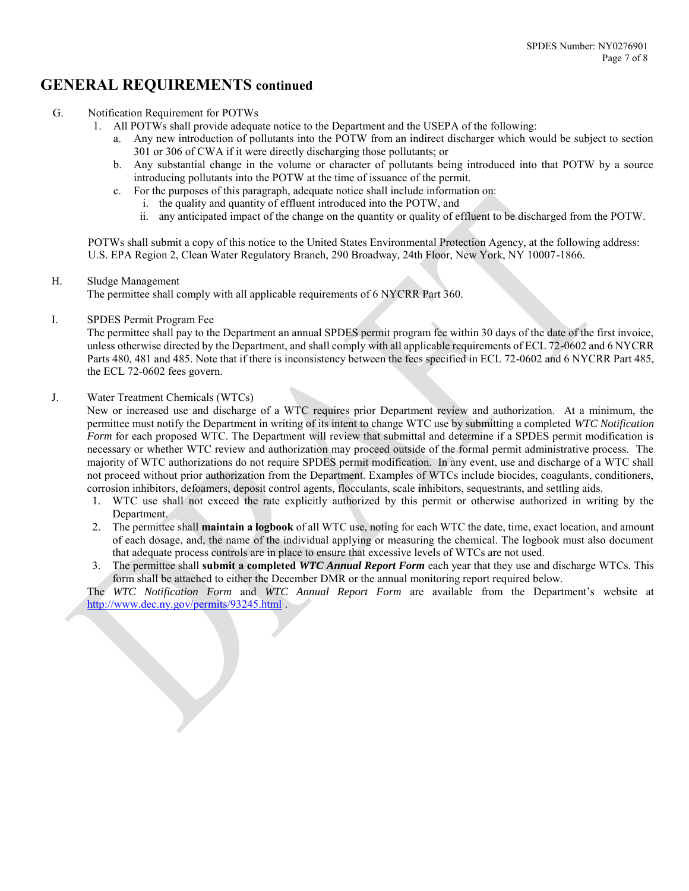## **GENERAL REQUIREMENTS continued**

- G. Notification Requirement for POTWs
	- 1. All POTWs shall provide adequate notice to the Department and the USEPA of the following:
		- a. Any new introduction of pollutants into the POTW from an indirect discharger which would be subject to section 301 or 306 of CWA if it were directly discharging those pollutants; or
		- b. Any substantial change in the volume or character of pollutants being introduced into that POTW by a source introducing pollutants into the POTW at the time of issuance of the permit.
		- c. For the purposes of this paragraph, adequate notice shall include information on:
			- i. the quality and quantity of effluent introduced into the POTW, and
			- ii. any anticipated impact of the change on the quantity or quality of effluent to be discharged from the POTW.

POTWs shall submit a copy of this notice to the United States Environmental Protection Agency, at the following address: U.S. EPA Region 2, Clean Water Regulatory Branch, 290 Broadway, 24th Floor, New York, NY 10007-1866.

H. Sludge Management

The permittee shall comply with all applicable requirements of 6 NYCRR Part 360.

I. SPDES Permit Program Fee

The permittee shall pay to the Department an annual SPDES permit program fee within 30 days of the date of the first invoice, unless otherwise directed by the Department, and shall comply with all applicable requirements of ECL 72-0602 and 6 NYCRR Parts 480, 481 and 485. Note that if there is inconsistency between the fees specified in ECL 72-0602 and 6 NYCRR Part 485, the ECL 72-0602 fees govern.

#### J. Water Treatment Chemicals (WTCs)

New or increased use and discharge of a WTC requires prior Department review and authorization. At a minimum, the permittee must notify the Department in writing of its intent to change WTC use by submitting a completed *WTC Notification Form* for each proposed WTC. The Department will review that submittal and determine if a SPDES permit modification is necessary or whether WTC review and authorization may proceed outside of the formal permit administrative process. The majority of WTC authorizations do not require SPDES permit modification. In any event, use and discharge of a WTC shall not proceed without prior authorization from the Department. Examples of WTCs include biocides, coagulants, conditioners, corrosion inhibitors, defoamers, deposit control agents, flocculants, scale inhibitors, sequestrants, and settling aids.

- 1. WTC use shall not exceed the rate explicitly authorized by this permit or otherwise authorized in writing by the Department.
- 2. The permittee shall **maintain a logbook** of all WTC use, noting for each WTC the date, time, exact location, and amount of each dosage, and, the name of the individual applying or measuring the chemical. The logbook must also document that adequate process controls are in place to ensure that excessive levels of WTCs are not used.
- 3. The permittee shall **submit a completed** *WTC Annual Report Form* each year that they use and discharge WTCs. This form shall be attached to either the December DMR or the annual monitoring report required below.

The *WTC Notification Form* and *WTC Annual Report Form* are available from the Department's website at <http://www.dec.ny.gov/permits/93245.html> .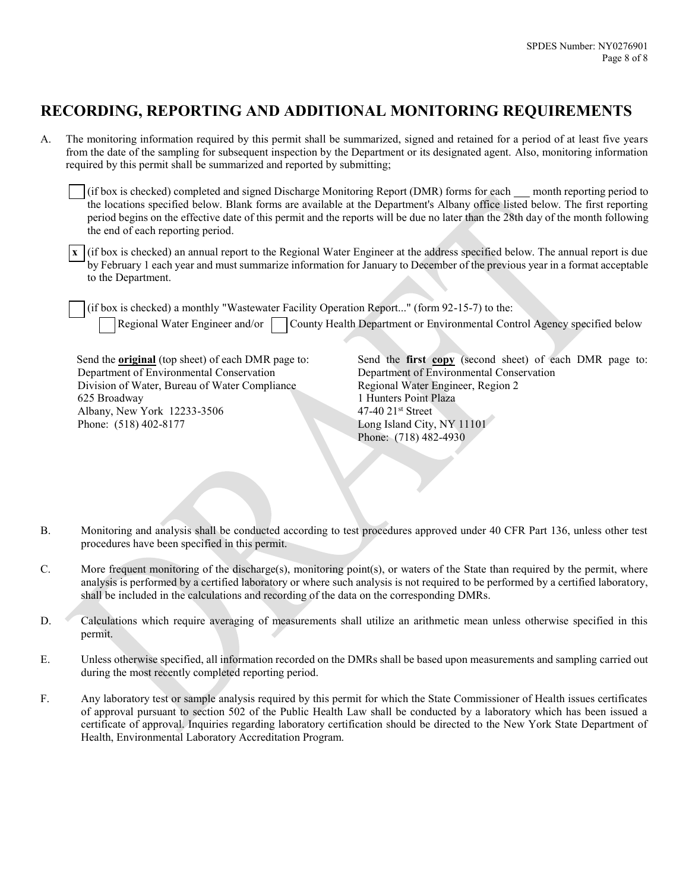# **RECORDING, REPORTING AND ADDITIONAL MONITORING REQUIREMENTS**

A. The monitoring information required by this permit shall be summarized, signed and retained for a period of at least five years from the date of the sampling for subsequent inspection by the Department or its designated agent. Also, monitoring information required by this permit shall be summarized and reported by submitting;

(if box is checked) completed and signed Discharge Monitoring Report (DMR) forms for each month reporting period to the locations specified below. Blank forms are available at the Department's Albany office listed below. The first reporting period begins on the effective date of this permit and the reports will be due no later than the 28th day of the month following the end of each reporting period.

**x** (if box is checked) an annual report to the Regional Water Engineer at the address specified below. The annual report is due by February 1 each year and must summarize information for January to December of the previous year in a format acceptable to the Department.

(if box is checked) a monthly "Wastewater Facility Operation Report..." (form 92-15-7) to the:

Regional Water Engineer and/or County Health Department or Environmental Control Agency specified below

Send the **original** (top sheet) of each DMR page to: Department of Environmental Conservation Division of Water, Bureau of Water Compliance 625 Broadway Albany, New York 12233-3506 Phone: (518) 402-8177

Send the **first copy** (second sheet) of each DMR page to: Department of Environmental Conservation Regional Water Engineer, Region 2 1 Hunters Point Plaza 47-40 21st Street Long Island City, NY 11101 Phone: (718) 482-4930

- B. Monitoring and analysis shall be conducted according to test procedures approved under 40 CFR Part 136, unless other test procedures have been specified in this permit.
- C. More frequent monitoring of the discharge(s), monitoring point(s), or waters of the State than required by the permit, where analysis is performed by a certified laboratory or where such analysis is not required to be performed by a certified laboratory, shall be included in the calculations and recording of the data on the corresponding DMRs.
- D. Calculations which require averaging of measurements shall utilize an arithmetic mean unless otherwise specified in this permit.
- E. Unless otherwise specified, all information recorded on the DMRs shall be based upon measurements and sampling carried out during the most recently completed reporting period.
- F. Any laboratory test or sample analysis required by this permit for which the State Commissioner of Health issues certificates of approval pursuant to section 502 of the Public Health Law shall be conducted by a laboratory which has been issued a certificate of approval. Inquiries regarding laboratory certification should be directed to the New York State Department of Health, Environmental Laboratory Accreditation Program.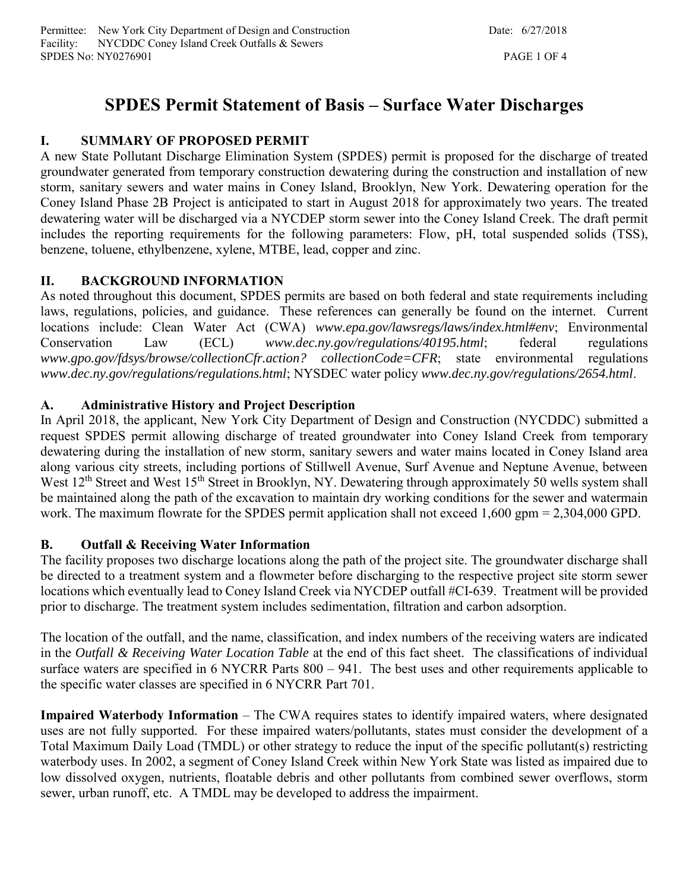# **SPDES Permit Statement of Basis – Surface Water Discharges**

# **I. SUMMARY OF PROPOSED PERMIT**

A new State Pollutant Discharge Elimination System (SPDES) permit is proposed for the discharge of treated groundwater generated from temporary construction dewatering during the construction and installation of new storm, sanitary sewers and water mains in Coney Island, Brooklyn, New York. Dewatering operation for the Coney Island Phase 2B Project is anticipated to start in August 2018 for approximately two years. The treated dewatering water will be discharged via a NYCDEP storm sewer into the Coney Island Creek. The draft permit includes the reporting requirements for the following parameters: Flow, pH, total suspended solids (TSS), benzene, toluene, ethylbenzene, xylene, MTBE, lead, copper and zinc.

# **II. BACKGROUND INFORMATION**

As noted throughout this document, SPDES permits are based on both federal and state requirements including laws, regulations, policies, and guidance. These references can generally be found on the internet. Current locations include: Clean Water Act (CWA) *www.epa.gov/lawsregs/laws/index.html#env*; Environmental Conservation Law (ECL) *www.dec.ny.gov/regulations/40195.html*; federal regulations *www.gpo.gov/fdsys/browse/collectionCfr.action? collectionCode=CFR*; state environmental regulations *www.dec.ny.gov/regulations/regulations.html*; NYSDEC water policy *www.dec.ny.gov/regulations/2654.html*.

## **A. Administrative History and Project Description**

In April 2018, the applicant, New York City Department of Design and Construction (NYCDDC) submitted a request SPDES permit allowing discharge of treated groundwater into Coney Island Creek from temporary dewatering during the installation of new storm, sanitary sewers and water mains located in Coney Island area along various city streets, including portions of Stillwell Avenue, Surf Avenue and Neptune Avenue, between West 12<sup>th</sup> Street and West 15<sup>th</sup> Street in Brooklyn, NY. Dewatering through approximately 50 wells system shall be maintained along the path of the excavation to maintain dry working conditions for the sewer and watermain work. The maximum flowrate for the SPDES permit application shall not exceed 1,600 gpm = 2,304,000 GPD.

## **B. Outfall & Receiving Water Information**

The facility proposes two discharge locations along the path of the project site. The groundwater discharge shall be directed to a treatment system and a flowmeter before discharging to the respective project site storm sewer locations which eventually lead to Coney Island Creek via NYCDEP outfall #CI-639. Treatment will be provided prior to discharge. The treatment system includes sedimentation, filtration and carbon adsorption.

The location of the outfall, and the name, classification, and index numbers of the receiving waters are indicated in the *Outfall & Receiving Water Location Table* at the end of this fact sheet. The classifications of individual surface waters are specified in 6 NYCRR Parts 800 – 941. The best uses and other requirements applicable to the specific water classes are specified in 6 NYCRR Part 701.

**Impaired Waterbody Information** – The CWA requires states to identify impaired waters, where designated uses are not fully supported. For these impaired waters/pollutants, states must consider the development of a Total Maximum Daily Load (TMDL) or other strategy to reduce the input of the specific pollutant(s) restricting waterbody uses. In 2002, a segment of Coney Island Creek within New York State was listed as impaired due to low dissolved oxygen, nutrients, floatable debris and other pollutants from combined sewer overflows, storm sewer, urban runoff, etc. A TMDL may be developed to address the impairment.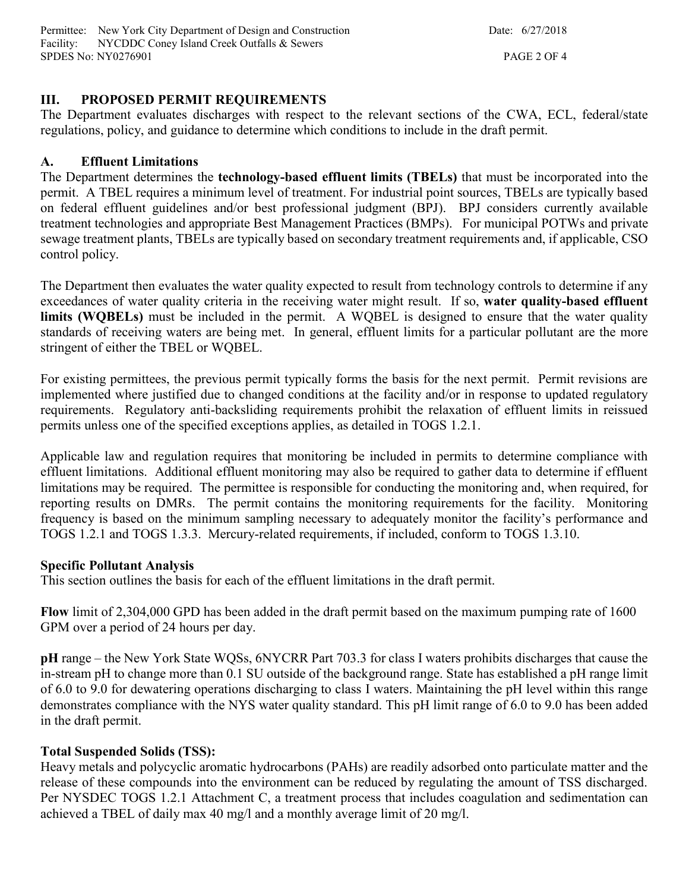Permittee: New York City Department of Design and Construction Date: 6/27/2018 Facility: NYCDDC Coney Island Creek Outfalls & Sewers SPDES No: NY0276901 PAGE 2 OF 4

#### **III. PROPOSED PERMIT REQUIREMENTS**

The Department evaluates discharges with respect to the relevant sections of the CWA, ECL, federal/state regulations, policy, and guidance to determine which conditions to include in the draft permit.

#### **A. Effluent Limitations**

The Department determines the **technology-based effluent limits (TBELs)** that must be incorporated into the permit. A TBEL requires a minimum level of treatment. For industrial point sources, TBELs are typically based on federal effluent guidelines and/or best professional judgment (BPJ). BPJ considers currently available treatment technologies and appropriate Best Management Practices (BMPs). For municipal POTWs and private sewage treatment plants, TBELs are typically based on secondary treatment requirements and, if applicable, CSO control policy.

The Department then evaluates the water quality expected to result from technology controls to determine if any exceedances of water quality criteria in the receiving water might result. If so, **water quality-based effluent limits (WQBELs)** must be included in the permit. A WQBEL is designed to ensure that the water quality standards of receiving waters are being met. In general, effluent limits for a particular pollutant are the more stringent of either the TBEL or WQBEL.

For existing permittees, the previous permit typically forms the basis for the next permit. Permit revisions are implemented where justified due to changed conditions at the facility and/or in response to updated regulatory requirements. Regulatory anti-backsliding requirements prohibit the relaxation of effluent limits in reissued permits unless one of the specified exceptions applies, as detailed in TOGS 1.2.1.

Applicable law and regulation requires that monitoring be included in permits to determine compliance with effluent limitations. Additional effluent monitoring may also be required to gather data to determine if effluent limitations may be required. The permittee is responsible for conducting the monitoring and, when required, for reporting results on DMRs. The permit contains the monitoring requirements for the facility. Monitoring frequency is based on the minimum sampling necessary to adequately monitor the facility's performance and TOGS 1.2.1 and TOGS 1.3.3. Mercury-related requirements, if included, conform to TOGS 1.3.10.

#### **Specific Pollutant Analysis**

This section outlines the basis for each of the effluent limitations in the draft permit.

**Flow** limit of 2,304,000 GPD has been added in the draft permit based on the maximum pumping rate of 1600 GPM over a period of 24 hours per day.

**pH** range – the New York State WQSs, 6NYCRR Part 703.3 for class I waters prohibits discharges that cause the in-stream pH to change more than 0.1 SU outside of the background range. State has established a pH range limit of 6.0 to 9.0 for dewatering operations discharging to class I waters. Maintaining the pH level within this range demonstrates compliance with the NYS water quality standard. This pH limit range of 6.0 to 9.0 has been added in the draft permit.

#### **Total Suspended Solids (TSS):**

Heavy metals and polycyclic aromatic hydrocarbons (PAHs) are readily adsorbed onto particulate matter and the release of these compounds into the environment can be reduced by regulating the amount of TSS discharged. Per NYSDEC TOGS 1.2.1 Attachment C, a treatment process that includes coagulation and sedimentation can achieved a TBEL of daily max 40 mg/l and a monthly average limit of 20 mg/l.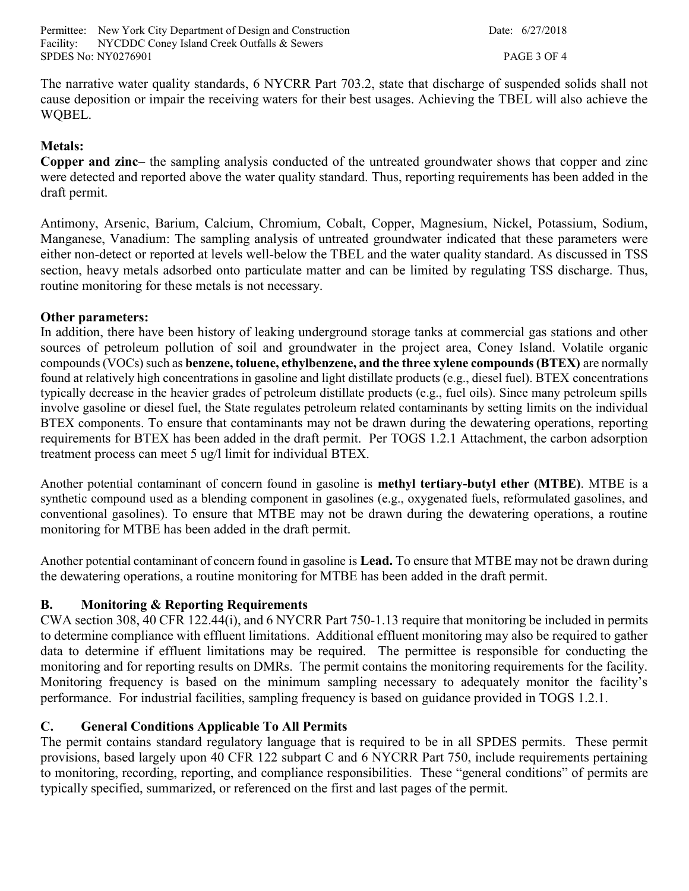Permittee: New York City Department of Design and Construction Date: 6/27/2018 Facility: NYCDDC Coney Island Creek Outfalls & Sewers SPDES No: NY0276901 PAGE 3 OF 4

The narrative water quality standards, 6 NYCRR Part 703.2, state that discharge of suspended solids shall not cause deposition or impair the receiving waters for their best usages. Achieving the TBEL will also achieve the WQBEL.

#### **Metals:**

**Copper and zinc**– the sampling analysis conducted of the untreated groundwater shows that copper and zinc were detected and reported above the water quality standard. Thus, reporting requirements has been added in the draft permit.

Antimony, Arsenic, Barium, Calcium, Chromium, Cobalt, Copper, Magnesium, Nickel, Potassium, Sodium, Manganese, Vanadium: The sampling analysis of untreated groundwater indicated that these parameters were either non-detect or reported at levels well-below the TBEL and the water quality standard. As discussed in TSS section, heavy metals adsorbed onto particulate matter and can be limited by regulating TSS discharge. Thus, routine monitoring for these metals is not necessary.

#### **Other parameters:**

In addition, there have been history of leaking underground storage tanks at commercial gas stations and other sources of petroleum pollution of soil and groundwater in the project area, Coney Island. Volatile organic compounds (VOCs) such as **benzene, toluene, ethylbenzene, and the three xylene compounds (BTEX)** are normally found at relatively high concentrations in gasoline and light distillate products (e.g., diesel fuel). BTEX concentrations typically decrease in the heavier grades of petroleum distillate products (e.g., fuel oils). Since many petroleum spills involve gasoline or diesel fuel, the State regulates petroleum related contaminants by setting limits on the individual BTEX components. To ensure that contaminants may not be drawn during the dewatering operations, reporting requirements for BTEX has been added in the draft permit. Per TOGS 1.2.1 Attachment, the carbon adsorption treatment process can meet 5 ug/l limit for individual BTEX.

Another potential contaminant of concern found in gasoline is **methyl tertiary-butyl ether (MTBE)**. MTBE is a synthetic compound used as a blending component in gasolines (e.g., oxygenated fuels, reformulated gasolines, and conventional gasolines). To ensure that MTBE may not be drawn during the dewatering operations, a routine monitoring for MTBE has been added in the draft permit.

Another potential contaminant of concern found in gasoline is **Lead.** To ensure that MTBE may not be drawn during the dewatering operations, a routine monitoring for MTBE has been added in the draft permit.

#### **B. Monitoring & Reporting Requirements**

CWA section 308, 40 CFR 122.44(i), and 6 NYCRR Part 750-1.13 require that monitoring be included in permits to determine compliance with effluent limitations. Additional effluent monitoring may also be required to gather data to determine if effluent limitations may be required. The permittee is responsible for conducting the monitoring and for reporting results on DMRs. The permit contains the monitoring requirements for the facility. Monitoring frequency is based on the minimum sampling necessary to adequately monitor the facility's performance. For industrial facilities, sampling frequency is based on guidance provided in TOGS 1.2.1.

#### **C. General Conditions Applicable To All Permits**

The permit contains standard regulatory language that is required to be in all SPDES permits. These permit provisions, based largely upon 40 CFR 122 subpart C and 6 NYCRR Part 750, include requirements pertaining to monitoring, recording, reporting, and compliance responsibilities. These "general conditions" of permits are typically specified, summarized, or referenced on the first and last pages of the permit.